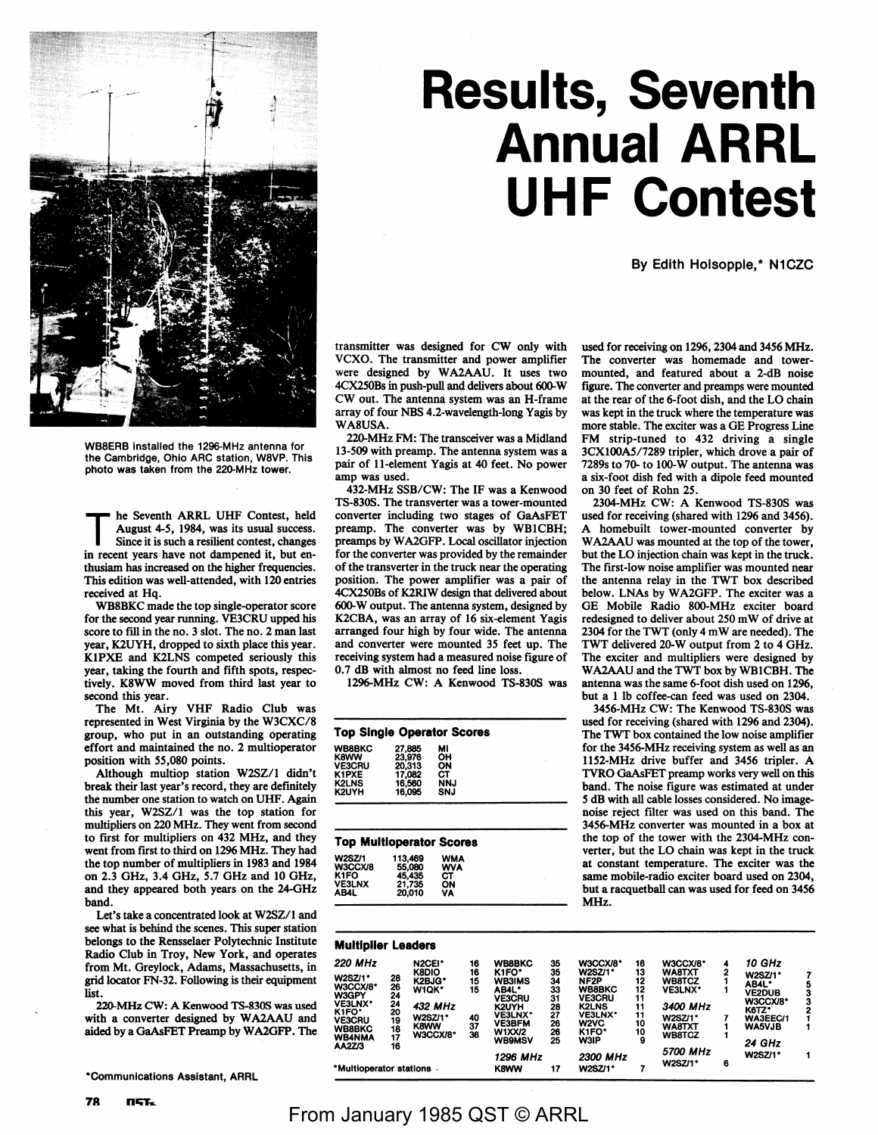

WB8ERB Installed the 1296-MHz antenna for the Cambridge, Ohio ARC station, W8VP. This photo was taken from the 220-MHz tower.

The Seventh ARRL UHF Contest, held<br>August 4-5, 1984, was its usual success.<br>Since it is used a sufficient senter a because Since it is such a resilient contest, changes in recent years have not dampened it, but enthusiam has increased on the higher frequencies. This edition was well-attended, with 120 entries received at Hq.

WB8BKC made the top single-operator score for the second year running. VE3CRU upped his score to fill in the no. 3 slot. The no. 2 man last year, K2UYH, dropped to sixth place this year. **KlPXE** and K2LNS competed seriously this year, taking the fourth and fifth spots, respectively. K8WW moved from third last year to second this year.

The Mt. Airy VHF Radio Club was represented in West Virginia by the W3CXC/8 group, who put in an outstanding operating effort and maintained the no. 2 multioperator position with 55,080 points.

Although multiop station W2SZ/l didn't break their last year's record, they are definitely the number one station to watch on UHF. Again this year, W2SZ/l was the top station for multipliers on 220 MHz. They went from second to first for multipliers on 432 MHz, and they went from first to third on 1296 MHz. They had the top number of multipliers in 1983 and 1984 on 2.3 GHz, 3.4 GHz, 5.7 GHz and 10 GHz, and they appeared both years on the 24-GHz band.

Let's take a concentrated look at W2SZ/l and see what is behind the scenes. This super station belongs to the Rensselaer Polytechnic Institute Radio Club in Troy, New York, and operates from Mt. Greylock, Adams, Massachusetts, in grid locator FN-32. Following is their equipment list.

220-MHz CW: A Kenwood TS-830S was used with a converter designed by WA2AAU and aided by a GaAsFET Preamp by WA2GFP. The

\*Communications Assistant, ARAL

**78 nliiT-...** 

# **Results, Seventh Annual ARRL UHF Contest**

By Edith Holsopple,\* N1CZC

transmitter was designed for CW only with VCXO. The transmitter and power amplifier were designed by WA2AAU. It uses two 4CX250Bs in push-pull and delivers about 600-W CW out. The antenna system was an H-frame array of four NBS 4.2-wavelength-long Yagis by WA8USA.

220-MHz FM: The transceiver was a Midland 13-509 with preamp. The antenna system was a pair of 11-element Yagis at 40 feet. No power amp was used.

432-MHz SSB/CW: The IF was a Kenwood TS-830S. The transverter was a tower-mounted converter including two stages of GaAsFET preamp. The converter was by WBlCBH; preamps by W A2GFP. Local oscillator injection for the converter was provided by the remainder of the transverter in the truck near the operating position. The power amplifier was a pair of 4CX250Bs of K2RIW design that delivered about 600-W output. The antenna system, designed by K2CBA, was an array of 16 six-element Yagis arranged four high by four wide. The antenna and converter were mounted 35 feet up. The receiving system had a measured noise figure of 0.7 dB with almost no feed line loss.

1296-MHz CW: A Kenwood TS-830S was

| <b>Top Single Operator Scores</b> |        |            |  |  |  |  |  |
|-----------------------------------|--------|------------|--|--|--|--|--|
| <b>WB8BKC</b>                     | 27.885 | м          |  |  |  |  |  |
| <b>K8WW</b>                       | 23,976 | ΟН         |  |  |  |  |  |
| <b>VE3CRU</b>                     | 20.313 | ON         |  |  |  |  |  |
| K1PXE                             | 17.082 | CТ         |  |  |  |  |  |
| <b>K2LNS</b>                      | 16,560 | <b>NNJ</b> |  |  |  |  |  |
| K2UYH                             | 16,095 | SNJ        |  |  |  |  |  |
|                                   |        |            |  |  |  |  |  |

### **Top Multloperator Scores**

used for receiving on 1296, 2304 and 3456 MHz. The converter was homemade and towermounted, and featured about a 2-dB noise figure. The converter and preamps were mounted at the rear of the 6-foot dish, and the LO chain was kept in the truck where the temperature was more stable. The exciter was a GE Progress Line FM strip-tuned to 432 driving a single 3CX100A5/7289 tripler, which drove a pair of 7289s to 70- to 100-W output. The antenna was a six-foot dish fed with a dipole feed mounted on 30 feet of Rohn *25.* 

2304-MHz CW: A Kenwood TS-830S was used for receiving (shared with 1296 and 3456). homebuilt tower-mounted converter by WA2AAU was mounted at the top of the tower, but the LO injection chain was kept in the truck. The first-low noise amplifier was mounted near the antenna relay in the TWT box described below. LNAs by WA2GFP. The exciter was a GE Mobile Radio 800-MHz exciter board redesigned to deliver about 250 mW of drive at 2304 for the TWT ( only 4 mW are needed). The TWT delivered 20-W output from 2 to 4 GHz. The exciter and multipliers were designed by WA2AAU and the TWT box by WBlCBH. The antenna was the same 6-foot dish used on 1296, but a l lb coffee-can feed was used on 2304.

3456-MHz CW: The Kenwood TS-830S was used for receiving (shared with 1296 and 2304). The TWT box contained the low noise amplifier for the 3456-MHz receiving system as well as an 1152-MHz drive buffer and 3456 tripler. A TVRO GaAsFET preamp works very well on this band. The noise figure was estimated at under *5* dB with all cable losses considered. No imagenoise reject filter was used on this band. The 3456-MHz converter was mounted in a box at the top of the tower with the 2304-MHz converter, but the LO chain was kept in the truck at constant temperature. The exciter was the same mobile-radio exciter board used on 2304, but a racquetball can was used for feed on 3456 **MHz.** 

| <b>Multiplier Leaders</b>                                                                                                |                                                    |                                                                                                   |                                        |                                                                                                                                                                          |                                                          |                                                                                                                                                    |                                                         |                                                                                                                                   |        |                                                                                                                           |                  |
|--------------------------------------------------------------------------------------------------------------------------|----------------------------------------------------|---------------------------------------------------------------------------------------------------|----------------------------------------|--------------------------------------------------------------------------------------------------------------------------------------------------------------------------|----------------------------------------------------------|----------------------------------------------------------------------------------------------------------------------------------------------------|---------------------------------------------------------|-----------------------------------------------------------------------------------------------------------------------------------|--------|---------------------------------------------------------------------------------------------------------------------------|------------------|
| <b>220 MHz</b><br>W2SZ/1*<br>W3CCX/8*<br>W3GPY<br>VE3LNX*<br>K1FO*<br><b>VE3CRU</b><br>WB8BKC<br><b>WB4NMA</b><br>AA2Z/3 | 28<br>26<br>24<br>24<br>20<br>19<br>18<br>17<br>16 | N2CEI*<br><b>K8DIO</b><br>K2BJG*<br>W1QK*<br>432 MHz<br><b>W2SZ/1*</b><br><b>K8WW</b><br>W3CCX/8* | 16<br>16<br>15<br>15<br>40<br>37<br>36 | <b>WB8BKC</b><br>K <sub>1</sub> FO*<br><b>WB3IMS</b><br>AB4L*<br><b>VE3CRU</b><br>K2UYH<br><b>VE3LNX*</b><br><b>VE3BFM</b><br><b>W1XX/2</b><br><b>WB9MSV</b><br>1296 MHz | 35<br>35<br>34<br>33<br>31<br>28<br>27<br>26<br>26<br>25 | W3CCX/8*<br><b>W2SZ/1*</b><br>NF2P<br><b>WB8BKC</b><br><b>VE3CRU</b><br><b>K2LNS</b><br>VE3LNX*<br>W2VC<br>K1FO*<br><b>W3IP</b><br><b>2300 MHz</b> | 16<br>13<br>12<br>12<br>11<br>11<br>11<br>10<br>10<br>9 | W3CCX/8*<br><b>WA8TXT</b><br>WB8TCZ<br><b>VE3LNX*</b><br>3400 MHz<br><b>W2SZ/1*</b><br><b>WA8TXT</b><br><b>WB8TCZ</b><br>5700 MHz | 4<br>2 | 10 GHz<br><b>W2SZ/1*</b><br>AB4L*<br><b>VE2DUB</b><br>W3CCX/8*<br>K6TZ*<br>WA3EEC/1<br><b>WA5VJB</b><br>24 GHz<br>W2SZ/1* | 5<br>з<br>з<br>2 |
| *Multioperator stations                                                                                                  |                                                    |                                                                                                   |                                        | <b>K8WW</b>                                                                                                                                                              | 17                                                       | <b>W2SZ/1*</b>                                                                                                                                     |                                                         | <b>W2SZ/1*</b>                                                                                                                    | 6      |                                                                                                                           |                  |

## From January 1985 QST © ARRL